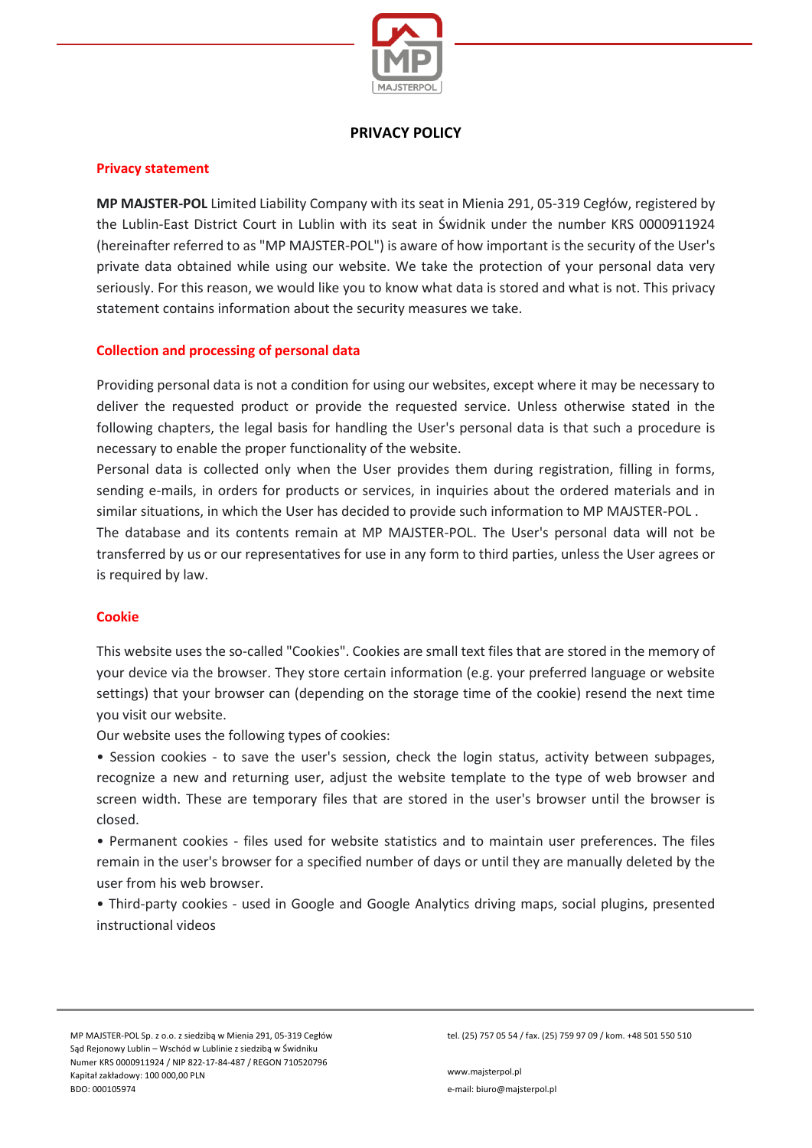

# **PRIVACY POLICY**

### **Privacy statement**

**MP MAJSTER-POL** Limited Liability Company with its seat in Mienia 291, 05-319 Cegłów, registered by the Lublin-East District Court in Lublin with its seat in Świdnik under the number KRS 0000911924 (hereinafter referred to as "MP MAJSTER-POL") is aware of how important is the security of the User's private data obtained while using our website. We take the protection of your personal data very seriously. For this reason, we would like you to know what data is stored and what is not. This privacy statement contains information about the security measures we take.

## **Collection and processing of personal data**

Providing personal data is not a condition for using our websites, except where it may be necessary to deliver the requested product or provide the requested service. Unless otherwise stated in the following chapters, the legal basis for handling the User's personal data is that such a procedure is necessary to enable the proper functionality of the website.

Personal data is collected only when the User provides them during registration, filling in forms, sending e-mails, in orders for products or services, in inquiries about the ordered materials and in similar situations, in which the User has decided to provide such information to MP MAJSTER-POL .

The database and its contents remain at MP MAJSTER-POL. The User's personal data will not be transferred by us or our representatives for use in any form to third parties, unless the User agrees or is required by law.

# **Cookie**

This website uses the so-called "Cookies". Cookies are small text files that are stored in the memory of your device via the browser. They store certain information (e.g. your preferred language or website settings) that your browser can (depending on the storage time of the cookie) resend the next time you visit our website.

Our website uses the following types of cookies:

• Session cookies - to save the user's session, check the login status, activity between subpages, recognize a new and returning user, adjust the website template to the type of web browser and screen width. These are temporary files that are stored in the user's browser until the browser is closed.

• Permanent cookies - files used for website statistics and to maintain user preferences. The files remain in the user's browser for a specified number of days or until they are manually deleted by the user from his web browser.

• Third-party cookies - used in Google and Google Analytics driving maps, social plugins, presented instructional videos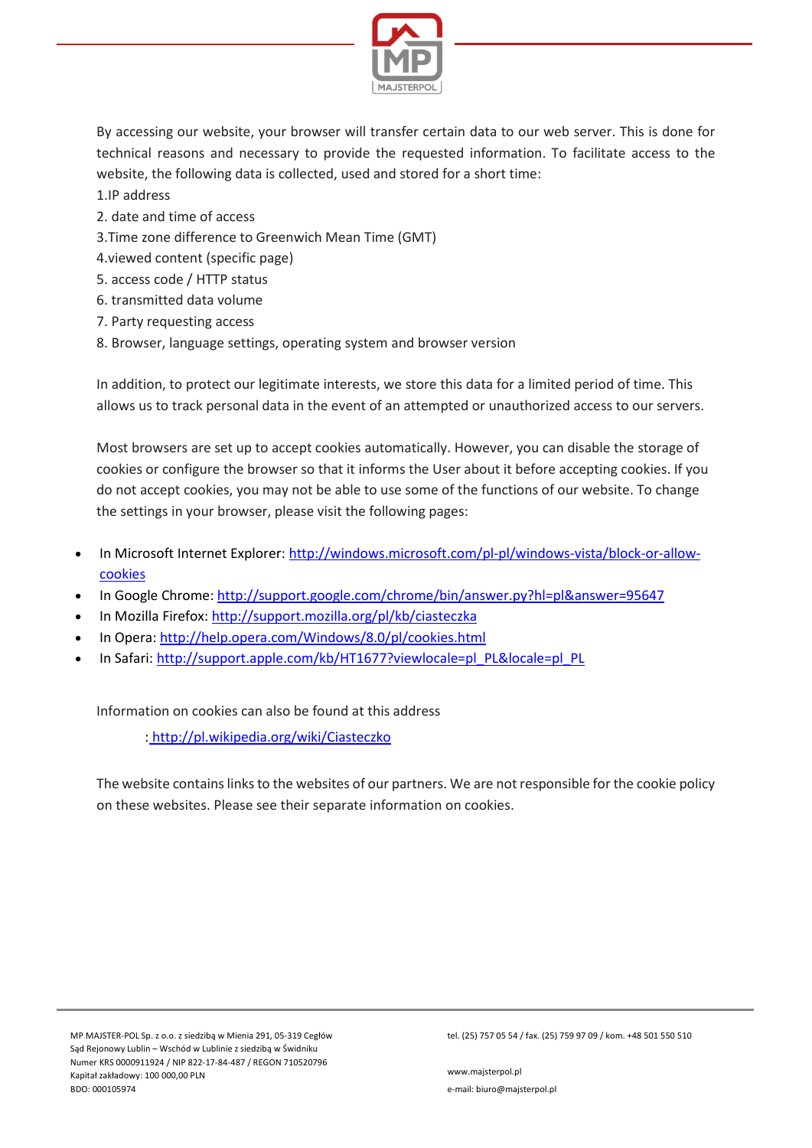

By accessing our website, your browser will transfer certain data to our web server. This is done for technical reasons and necessary to provide the requested information. To facilitate access to the website, the following data is collected, used and stored for a short time:

- 1.IP address
- 2. date and time of access
- 3.Time zone difference to Greenwich Mean Time (GMT)
- 4.viewed content (specific page)
- 5. access code / HTTP status
- 6. transmitted data volume
- 7. Party requesting access
- 8. Browser, language settings, operating system and browser version

In addition, to protect our legitimate interests, we store this data for a limited period of time. This allows us to track personal data in the event of an attempted or unauthorized access to our servers.

Most browsers are set up to accept cookies automatically. However, you can disable the storage of cookies or configure the browser so that it informs the User about it before accepting cookies. If you do not accept cookies, you may not be able to use some of the functions of our website. To change the settings in your browser, please visit the following pages:

- In Microsoft Internet Explorer: [http://windows.microsoft.com/pl](http://windows.microsoft.com/pl-pl/windows-vista/block-or-allow-cookies)-pl/windows-vista/block-or-allow[cookies](http://windows.microsoft.com/pl-pl/windows-vista/block-or-allow-cookies)
- In Google Chrome: <http://support.google.com/chrome/bin/answer.py?hl=pl&answer=95647>
- In Mozilla Firefox: <http://support.mozilla.org/pl/kb/ciasteczka>
- In Opera: <http://help.opera.com/Windows/8.0/pl/cookies.html>
- In Safari: [http://support.apple.com/kb/HT1677?viewlocale=pl\\_PL&locale=pl\\_PL](http://support.apple.com/kb/HT1677?viewlocale=pl_PL&locale=pl_PL)

Information on cookies can also be found at this address

: <http://pl.wikipedia.org/wiki/Ciasteczko>

The website contains links to the websites of our partners. We are not responsible for the cookie policy on these websites. Please see their separate information on cookies.